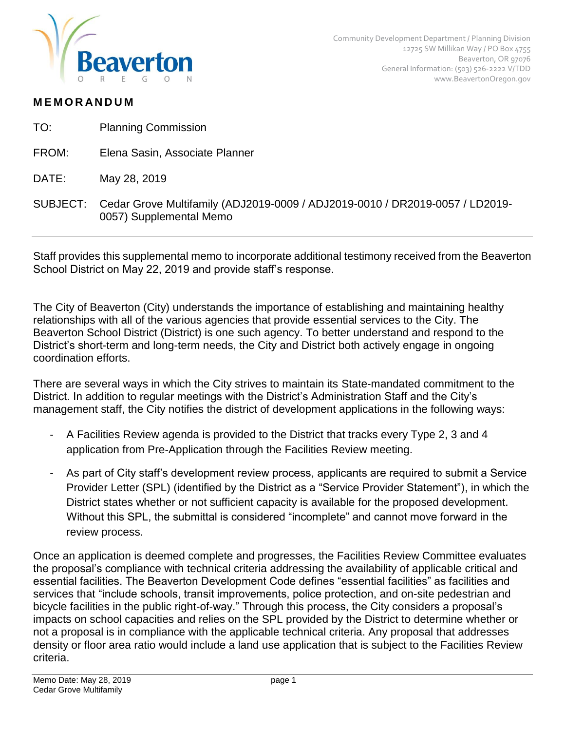

## **M E M O R AN D U M**

- TO: Planning Commission
- FROM: Elena Sasin, Associate Planner
- DATE: May 28, 2019
- SUBJECT: Cedar Grove Multifamily (ADJ2019-0009 / ADJ2019-0010 / DR2019-0057 / LD2019- 0057) Supplemental Memo

Staff provides this supplemental memo to incorporate additional testimony received from the Beaverton School District on May 22, 2019 and provide staff's response.

The City of Beaverton (City) understands the importance of establishing and maintaining healthy relationships with all of the various agencies that provide essential services to the City. The Beaverton School District (District) is one such agency. To better understand and respond to the District's short-term and long-term needs, the City and District both actively engage in ongoing coordination efforts.

There are several ways in which the City strives to maintain its State-mandated commitment to the District. In addition to regular meetings with the District's Administration Staff and the City's management staff, the City notifies the district of development applications in the following ways:

- A Facilities Review agenda is provided to the District that tracks every Type 2, 3 and 4 application from Pre-Application through the Facilities Review meeting.
- As part of City staff's development review process, applicants are required to submit a Service Provider Letter (SPL) (identified by the District as a "Service Provider Statement"), in which the District states whether or not sufficient capacity is available for the proposed development. Without this SPL, the submittal is considered "incomplete" and cannot move forward in the review process.

Once an application is deemed complete and progresses, the Facilities Review Committee evaluates the proposal's compliance with technical criteria addressing the availability of applicable critical and essential facilities. The Beaverton Development Code defines "essential facilities" as facilities and services that "include schools, transit improvements, police protection, and on-site pedestrian and bicycle facilities in the public right-of-way." Through this process, the City considers a proposal's impacts on school capacities and relies on the SPL provided by the District to determine whether or not a proposal is in compliance with the applicable technical criteria. Any proposal that addresses density or floor area ratio would include a land use application that is subject to the Facilities Review criteria.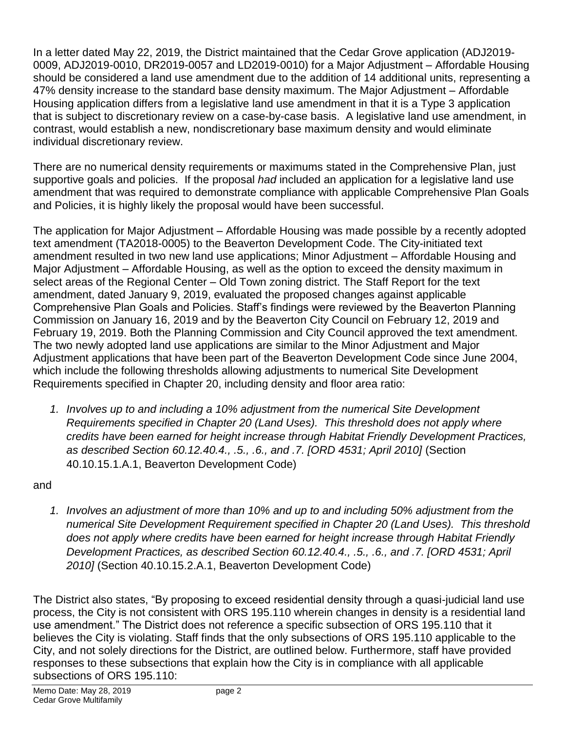In a letter dated May 22, 2019, the District maintained that the Cedar Grove application (ADJ2019- 0009, ADJ2019-0010, DR2019-0057 and LD2019-0010) for a Major Adjustment – Affordable Housing should be considered a land use amendment due to the addition of 14 additional units, representing a 47% density increase to the standard base density maximum. The Major Adjustment – Affordable Housing application differs from a legislative land use amendment in that it is a Type 3 application that is subject to discretionary review on a case-by-case basis. A legislative land use amendment, in contrast, would establish a new, nondiscretionary base maximum density and would eliminate individual discretionary review.

There are no numerical density requirements or maximums stated in the Comprehensive Plan, just supportive goals and policies. If the proposal *had* included an application for a legislative land use amendment that was required to demonstrate compliance with applicable Comprehensive Plan Goals and Policies, it is highly likely the proposal would have been successful.

The application for Major Adjustment – Affordable Housing was made possible by a recently adopted text amendment (TA2018-0005) to the Beaverton Development Code. The City-initiated text amendment resulted in two new land use applications; Minor Adjustment – Affordable Housing and Major Adjustment – Affordable Housing, as well as the option to exceed the density maximum in select areas of the Regional Center – Old Town zoning district. The Staff Report for the text amendment, dated January 9, 2019, evaluated the proposed changes against applicable Comprehensive Plan Goals and Policies. Staff's findings were reviewed by the Beaverton Planning Commission on January 16, 2019 and by the Beaverton City Council on February 12, 2019 and February 19, 2019. Both the Planning Commission and City Council approved the text amendment. The two newly adopted land use applications are similar to the Minor Adjustment and Major Adjustment applications that have been part of the Beaverton Development Code since June 2004, which include the following thresholds allowing adjustments to numerical Site Development Requirements specified in Chapter 20, including density and floor area ratio:

*1. Involves up to and including a 10% adjustment from the numerical Site Development Requirements specified in Chapter 20 (Land Uses). This threshold does not apply where credits have been earned for height increase through Habitat Friendly Development Practices, as described Section 60.12.40.4., .5., .6., and .7. [ORD 4531; April 2010]* (Section 40.10.15.1.A.1, Beaverton Development Code)

and

*1. Involves an adjustment of more than 10% and up to and including 50% adjustment from the numerical Site Development Requirement specified in Chapter 20 (Land Uses). This threshold does not apply where credits have been earned for height increase through Habitat Friendly Development Practices, as described Section 60.12.40.4., .5., .6., and .7. [ORD 4531; April 2010]* (Section 40.10.15.2.A.1, Beaverton Development Code)

The District also states, "By proposing to exceed residential density through a quasi-judicial land use process, the City is not consistent with ORS 195.110 wherein changes in density is a residential land use amendment." The District does not reference a specific subsection of ORS 195.110 that it believes the City is violating. Staff finds that the only subsections of ORS 195.110 applicable to the City, and not solely directions for the District, are outlined below. Furthermore, staff have provided responses to these subsections that explain how the City is in compliance with all applicable subsections of ORS 195.110: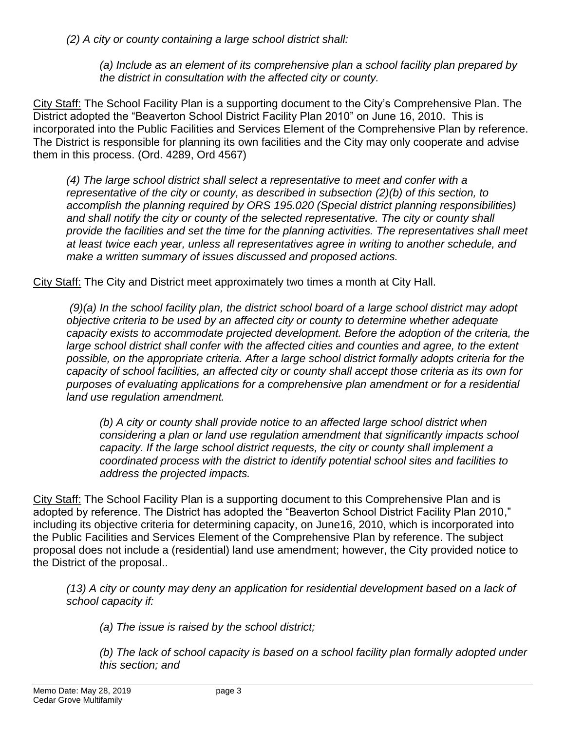*(2) A city or county containing a large school district shall:*

*(a) Include as an element of its comprehensive plan a school facility plan prepared by the district in consultation with the affected city or county.*

City Staff: The School Facility Plan is a supporting document to the City's Comprehensive Plan. The District adopted the "Beaverton School District Facility Plan 2010" on June 16, 2010. This is incorporated into the Public Facilities and Services Element of the Comprehensive Plan by reference. The District is responsible for planning its own facilities and the City may only cooperate and advise them in this process. (Ord. 4289, Ord 4567)

*(4) The large school district shall select a representative to meet and confer with a representative of the city or county, as described in subsection (2)(b) of this section, to accomplish the planning required by ORS [195.020 \(Special district planning responsibilities\)](https://www.oregonlaws.org/ors/195.020)* and shall notify the city or county of the selected representative. The city or county shall *provide the facilities and set the time for the planning activities. The representatives shall meet at least twice each year, unless all representatives agree in writing to another schedule, and make a written summary of issues discussed and proposed actions.*

City Staff: The City and District meet approximately two times a month at City Hall.

*(9)(a) In the school facility plan, the district school board of a large school district may adopt objective criteria to be used by an affected city or county to determine whether adequate capacity exists to accommodate projected development. Before the adoption of the criteria, the*  large school district shall confer with the affected cities and counties and agree, to the extent *possible, on the appropriate criteria. After a large school district formally adopts criteria for the capacity of school facilities, an affected city or county shall accept those criteria as its own for purposes of evaluating applications for a comprehensive plan amendment or for a residential land use regulation amendment.*

*(b) A city or county shall provide notice to an affected large school district when considering a plan or land use regulation amendment that significantly impacts school capacity. If the large school district requests, the city or county shall implement a coordinated process with the district to identify potential school sites and facilities to address the projected impacts.*

City Staff: The School Facility Plan is a supporting document to this Comprehensive Plan and is adopted by reference. The District has adopted the "Beaverton School District Facility Plan 2010," including its objective criteria for determining capacity, on June16, 2010, which is incorporated into the Public Facilities and Services Element of the Comprehensive Plan by reference. The subject proposal does not include a (residential) land use amendment; however, the City provided notice to the District of the proposal..

*(13) A city or county may deny an application for residential development based on a lack of school capacity if:*

*(a) The issue is raised by the school district;*

*(b) The lack of school capacity is based on a school facility plan formally adopted under this section; and*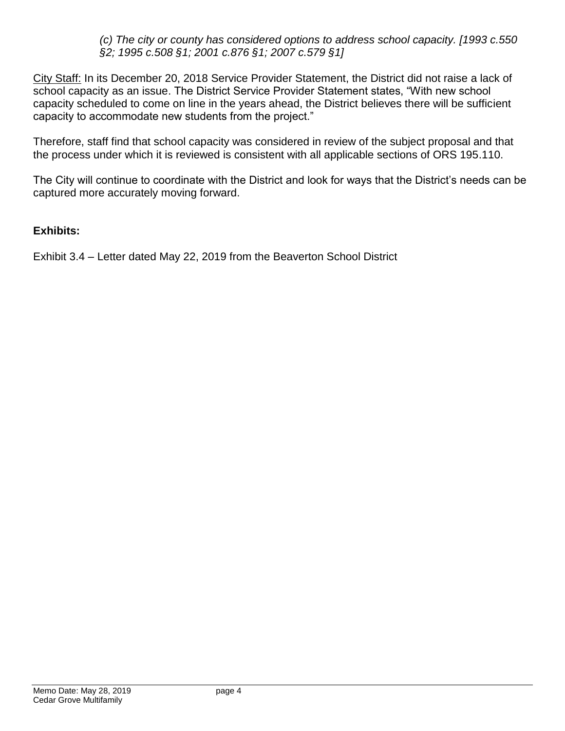*(c) The city or county has considered options to address school capacity. [1993 c.550 §2; 1995 c.508 §1; 2001 c.876 §1; 2007 c.579 §1]*

City Staff: In its December 20, 2018 Service Provider Statement, the District did not raise a lack of school capacity as an issue. The District Service Provider Statement states, "With new school capacity scheduled to come on line in the years ahead, the District believes there will be sufficient capacity to accommodate new students from the project."

Therefore, staff find that school capacity was considered in review of the subject proposal and that the process under which it is reviewed is consistent with all applicable sections of ORS 195.110.

The City will continue to coordinate with the District and look for ways that the District's needs can be captured more accurately moving forward.

## **Exhibits:**

Exhibit 3.4 – Letter dated May 22, 2019 from the Beaverton School District